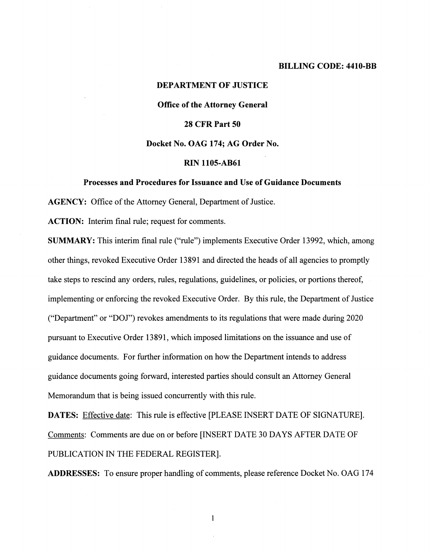#### **BILLING CODE: 4410-BB**

# **DEPARTMENT OF JUSTICE Office of the Attorney General 28 CFR Part 50 Docket No. OAG 174; AG Order No.**

# **RIN 1105-AB61**

## **Processes and Procedures for Issuance and Use of Guidance Documents**

**AGENCY:** Office of the Attorney General, Department of Justice.

**ACTION:** Interim final rule; request for comments.

**SUMMARY:** This interim final rule ("rule") implements Executive Order 13992, which, among other things, revoked Executive Order 13891 and directed the heads of all agencies to promptly take steps to rescind any orders, rules, regulations, guidelines, or policies, or portions thereof, implementing or enforcing the revoked Executive Order. By this rule, the Department of Justice ("Department" or "DOJ") revokes amendments to its regulations that were made during 2020 pursuant to Executive Order 13891, which imposed limitations on the issuance and use of guidance documents. For further information on how the Department intends to address guidance documents going forward, interested parties should consult an Attorney General Memorandum that is being issued concurrently with this rule.

**DATES:** Effective date: This rule is effective [PLEASE INSERT DATE OF SIGNATURE]. Comments: Comments are due on or before [INSERT DATE 30 DAYS AFTER DATE OF PUBLICATION IN THE FEDERAL REGISTER].

**ADDRESSES:** To ensure proper handling of comments, please reference Docket No. OAG 174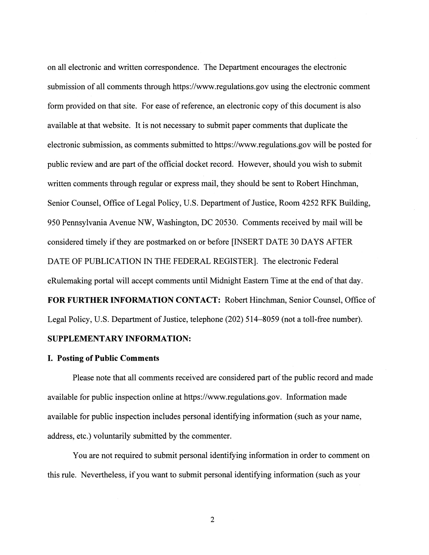on all electronic and written correspondence. The Department encourages the electronic submission of all comments through https://<www.regulations.gov> using the electronic comment form provided on that site. For ease of reference, an electronic copy of this document is also available at that website. It is not necessary to submit paper comments that duplicate the electronic submission, as comments submitted to<https://www.regulations.gov>will be posted for public review and are part of the official docket record. However, should you wish to submit written comments through regular or express mail, they should be sent to Robert Hinchman, Senior Counsel, Office of Legal Policy, U.S. Department of Justice, Room 4252 RFK Building, 950 Pennsylvania Avenue NW, Washington, DC 20530. Comments received by mail will be considered timely ifthey are postmarked on or before [INSERT DATE 30 DAYS AFTER DATE OF PUBLICATION IN THE FEDERAL REGISTER]. The electronic Federal eRulemaking portal will accept comments until Midnight Eastern Time at the end of that day. **FOR FURTHER INFORMATION CONTACT:** Robert Hinchman, Senior Counsel, Office of

Legal Policy, U.S. Department of Justice, telephone (202) 514–8059 (not a toll-free number).

# **SUPPLEMENTARY INFORMATION:**

## **I. Posting of Public Comments**

Please note that all comments received are considered part of the public record and made available for public inspection online at [https://www.regulations.gov.](https://www.regulations.gov) Information made available for public inspection includes personal identifying information (such as your name, address, etc.) voluntarily submitted by the commenter.

You are not required to submit personal identifying information in order to comment on this rule. Nevertheless, ifyou want to submit personal identifying information (such as your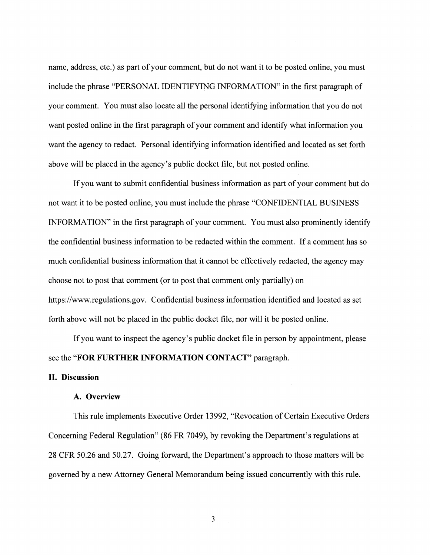name, address, etc.) as part of your comment, but do not want it to be posted online, you must include the phrase "PERSONAL IDENTIFYING INFORMATION" in the first paragraph of your comment. You must also locate all the personal identifying information that you do not want posted online in the first paragraph of your comment and identify what information you want the agency to redact. Personal identifying information identified and located as set forth above will be placed in the agency's public docket file, but not posted online.

Ifyou want to submit confidential business information as part ofyour comment but do not want it to be posted online, you must include the phrase "CONFIDENTIAL BUSINESS INFORMATION" in the first paragraph of your comment. You must also prominently identify the confidential business information to be redacted within the comment. If a comment has so much confidential business information that it cannot be effectively redacted, the agency may choose not to post that comment (or to post that comment only partially) on <https://www.regulations.gov>. Confidential business information identified and located as set forth above will not be placed in the public docket file, nor will it be posted online.

If you want to inspect the agency's public docket file in person by appointment, please see the **"FOR FURTHER INFORMATION CONTACT"** paragraph.

## **II. Discussion**

### **A. Overview**

This rule implements Executive Order 13992, "Revocation of Certain Executive Orders Concerning Federal Regulation" (86 FR 7049), by revoking the Department's regulations at 28 CFR 50.26 and 50.27. Going forward, the Department's approach to those matters will be governed by a new Attorney General Memorandum being issued concurrently with this rule.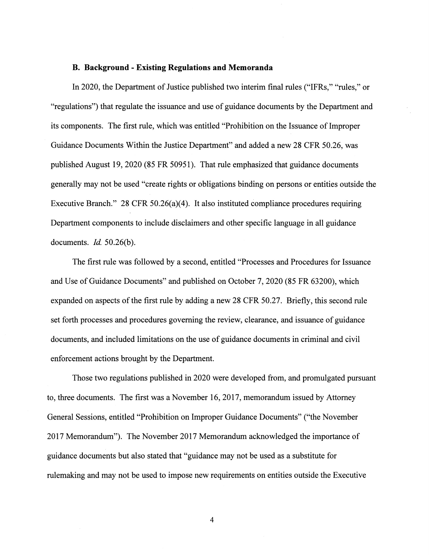# **B. Background - Existing Regulations and Memoranda**

In 2020, the Department of Justice published two interim final rules ("IFRs," "rules," or "regulations") that regulate the issuance and use of guidance documents by the Department and its components. The first rule, which was entitled "Prohibition on the Issuance of Improper Guidance Documents Within the Justice Department" and added a new 28 CFR 50.26, was published August 19, 2020 (85 FR 50951). That rule emphasized that guidance documents generally may not be used "create rights or obligations binding on persons or entities outside the Executive Branch." 28 CFR 50.26(a)(4). It also instituted compliance procedures requiring Department components to include disclaimers and other specific language in all guidance documents. *Id.* 50.26(b).

The first rule was followed by a second, entitled "Processes and Procedures for Issuance and Use of Guidance Documents" and published on October 7, 2020 (85 FR 63200), which expanded on aspects of the first rule by adding a new 28 CFR 50.27. Briefly, this second rule set forth processes and procedures governing the review, clearance, and issuance of guidance documents, and included limitations on the use of guidance documents in criminal and civil enforcement actions brought by the Department.

Those two regulations published in 2020 were developed from, and promulgated pursuant to, three documents. The first was a November 16, 2017, memorandum issued by Attorney General Sessions, entitled "Prohibition on Improper Guidance Documents" ("the November 2017 Memorandum"). The November 2017 Memorandum acknowledged the importance of guidance documents but also stated that "guidance may not be used as a substitute for rulemaking and may not be used to impose new requirements on entities outside the Executive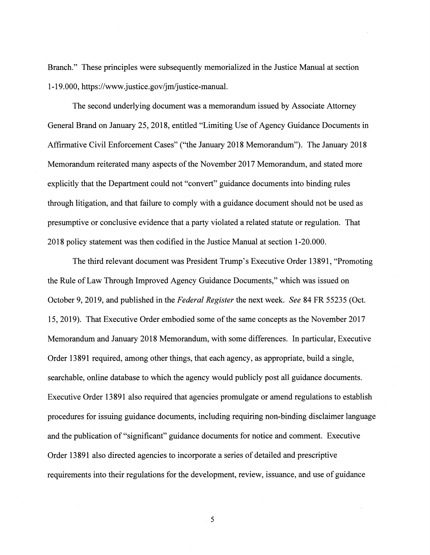Branch." These principles were subsequently memorialized in the Justice Manual at section 1-19.000, <https://www.justice.gov/jm/justice-manual>.

The second underlying document was a memorandum issued by Associate Attorney General Brand on January 25, 2018, entitled "Limiting Use of Agency Guidance Documents in Affirmative Civil Enforcement Cases" ("the January 2018 Memorandum"). The January 2018 Memorandum reiterated many aspects of the November 2017 Memorandum, and stated more explicitly that the Department could not "convert" guidance documents into binding rules through litigation, and that failure to comply with a guidance document should not be used as presumptive or conclusive evidence that a party violated a related statute or regulation. That 2018 policy statement was then codified in the Justice Manual at section 1-20.000.

The third relevant document was President Trump's Executive Order 13891, "Promoting the Rule of Law Through Improved Agency Guidance Documents," which was issued on October 9, 2019, and published in the *Federal Register* the next week. *See* 84 FR 55235 (Oct. 15, 2019). That Executive Order embodied some of the same concepts as the November 2017 Memorandum and January 2018 Memorandum, with some differences. In particular, Executive Order 13891 required, among other things, that each agency, as appropriate, build a single, searchable, online database to which the agency would publicly post all guidance documents. Executive Order 13891 also required that agencies promulgate or amend regulations to establish procedures for issuing guidance documents, including requiring non-binding disclaimer language and the publication of "significant" guidance documents for notice and comment. Executive Order 13891 also directed agencies to incorporate a series of detailed and prescriptive requirements into their regulations for the development, review, issuance, and use of guidance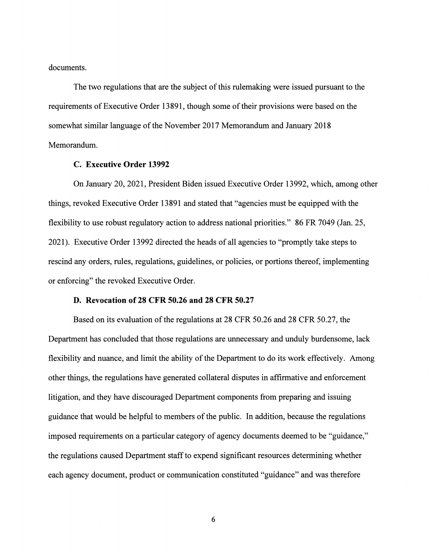documents.

The two regulations that are the subject of this rulemaking were issued pursuant to the requirements of Executive Order 13891, though some of their provisions were based on the somewhat similar language of the November 2017 Memorandum and January 2018 Memorandum.

## **C. Executive Order 13992**

On January 20, 2021, President Biden issued Executive Order 13992, which, among other things, revoked Executive Order 13891 and stated that "agencies must be equipped with the flexibility to use robust regulatory action to address national priorities." 86 FR 7049 (Jan. 25, 2021). Executive Order 13992 directed the heads of all agencies to "promptly take steps to rescind any orders, rules, regulations, guidelines, or policies, or portions thereof, implementing or enforcing" the revoked Executive Order.

## **D. Revocation of 28 CFR 50.26 and 28 CFR 50.27**

Based on its evaluation of the regulations at 28 CFR 50.26 and 28 CFR 50.27, the Department has concluded that those regulations are unnecessary and unduly burdensome, lack flexibility and nuance, and limit the ability of the Department to do its work effectively. Among other things, the regulations have generated collateral disputes in affirmative and enforcement litigation, and they have discouraged Department components from preparing and issuing guidance that would be helpful to members of the public. In addition, because the regulations imposed requirements on a particular category of agency documents deemed to be "guidance," the regulations caused Department staff to expend significant resources determining whether each agency document, product or communication constituted "guidance" and was therefore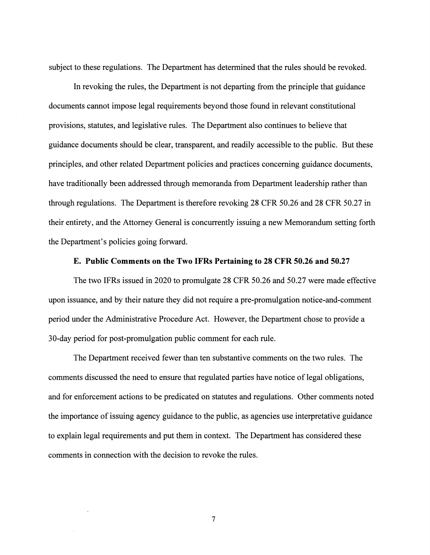subject to these regulations. The Department has determined that the rules should be revoked.

In revoking the rules, the Department is not departing from the principle that guidance documents cannot impose legal requirements beyond those found in relevant constitutional provisions, statutes, and legislative rules. The Department also continues to believe that guidance documents should be clear, transparent, and readily accessible to the public. But these principles, and other related Department policies and practices concerning guidance documents, have traditionally been addressed through memoranda from Department leadership rather than through regulations. The Department is therefore revoking 28 CFR 50.26 and 28 CFR 50.27 in their entirety, and the Attorney General is concurrently issuing a new Memorandum setting forth the Department's policies going forward.

## **E. Public Comments on the Two IFRs Pertaining to 28 CFR 50.26 and 50.27**

The two IFRs issued in 2020 to promulgate 28 CFR 50.26 and 50.27 were made effective upon issuance, and by their nature they did not require a pre-promulgation notice-and-comment period under the Administrative Procedure Act. However, the Department chose to provide a 30-day period for post-promulgation public comment for each rule.

The Department received fewer than ten substantive comments on the two rules. The comments discussed the need to ensure that regulated parties have notice of legal obligations, and for enforcement actions to be predicated on statutes and regulations. Other comments noted the importance of issuing agency guidance to the public, as agencies use interpretative guidance to explain legal requirements and put them in context. The Department has considered these comments in connection with the decision to revoke the rules.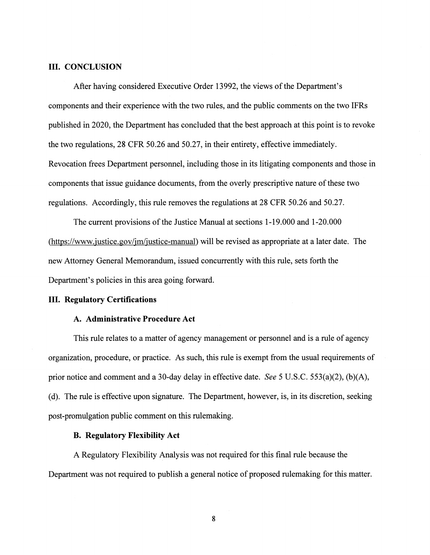## **III. CONCLUSION**

After having considered Executive Order 13992, the views of the Department's components and their experience with the two rules, and the public comments on the two IFRs published in 2020, the Department has concluded that the best approach at this point is to revoke the two regulations, 28 CFR 50.26 and 50.27, in their entirety, effective immediately. Revocation frees Department personnel, including those in its litigating components and those in components that issue guidance documents, from the overly prescriptive nature of these two regulations. Accordingly, this rule removes the regulations at 28 CFR 50.26 and 50.27.

The current provisions of the Justice Manual at sections 1-19.000 and 1-20.000 (<https://www.justice.gov/jm/justice-manual>) will be revised as appropriate at a later date. The new Attorney General Memorandum, issued concurrently with this rule, sets forth the Department's policies in this area going forward.

#### III. **Regulatory Certifications**

### **A. Administrative Procedure Act**

This rule relates to a matter of agency management or personnel and is a rule of agency organization, procedure, or practice. As such, this rule is exempt from the usual requirements of prior notice and comment and a 30-day delay in effective date. *See* 5 U.S.C. 553(a)(2), (b)(A), (d). The rule is effective upon signature. The Department, however, is, in its discretion, seeking post-promulgation public comment on this rulemaking.

## **B. Regulatory Flexibility Act**

A Regulatory Flexibility Analysis was not required for this final rule because the Department was not required to publish a general notice of proposed rulemaking for this matter.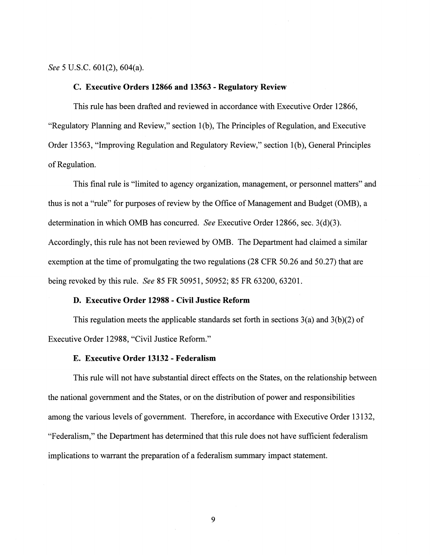*See* 5 U.S.C. 601(2), 604(a).

## **C. Executive Orders 12866 and 13563 - Regulatory Review**

This rule has been drafted and reviewed in accordance with Executive Order 12866, "Regulatory Planning and Review," section 1(b), The Principles of Regulation, and Executive Order 13563, "Improving Regulation and Regulatory Review," section l(b), General Principles of Regulation.

This final rule is "limited to agency organization, management, or personnel matters" and thus is not a "rule" for purposes of review by the Office of Management and Budget (OMB), a determination in which 0MB has concurred. *See* Executive Order 12866, sec. 3(d)(3). Accordingly, this rule has not been reviewed by 0MB. The Department had claimed a similar exemption at the time of promulgating the two regulations (28 CFR 50.26 and 50.27) that are being revoked by this rule. *See* 85 FR 50951, 50952; 85 FR 63200, 63201.

## **D. Executive Order 12988 - Civil Justice Reform**

This regulation meets the applicable standards set forth in sections  $3(a)$  and  $3(b)(2)$  of Executive Order 12988, "Civil Justice Reform."

# **E. Executive Order 13132 - Federalism**

This rule will not have substantial direct effects on the States, on the relationship between the national government and the States, or on the distribution of power and responsibilities among the various levels of government. Therefore, in accordance with Executive Order 13132, "Federalism," the Department has determined that this rule does not have sufficient federalism implications to warrant the preparation of a federalism summary impact statement.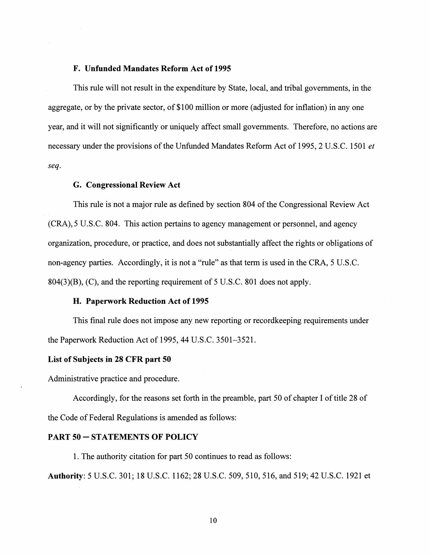#### **F. Unfunded Mandates Reform Act of 1995**

This rule will not result in the expenditure by State, local, and tribal governments, in the aggregate, or by the private sector, of \$100 million or more (adjusted for inflation) in any one year, and it will not significantly or uniquely affect small governments. Therefore, no actions are necessary under the provisions of the Unfunded Mandates Reform Act of 1995, 2 U.S.C. 1501 *et seq.* 

## **G. Congressional Review Act**

This rule is not a major rule as defined by section 804 of the Congressional Review Act (CRA), 5 U.S.C. 804. This action pertains to agency management or personnel, and agency organization, procedure, or practice, and does not substantially affect the rights or obligations of non-agency parties. Accordingly, it is not a "rule" as that term is used in the CRA, 5 U.S.C. 804(3)(B), (C), and the reporting requirement of 5 U.S.C. 801 does not apply.

# **H. Paperwork Reduction Act of 1995**

This final rule does not impose any new reporting or recordkeeping requirements under the Paperwork Reduction Act of 1995, 44 U.S.C. 3501-3521.

#### **List of Subjects in 28 CFR part 50**

Administrative practice and procedure.

Accordingly, for the reasons set forth in the preamble, part 50 of chapter I of title 28 of the Code of Federal Regulations is amended as follows:

# **PART SO-STATEMENTS OF POLICY**

1. The authority citation for part 50 continues to read as follows:

**Authority:** 5 U.S.C. 301; 18 U.S.C. 1162; 28 U.S.C. 509,510,516, and 519; 42 U.S.C. 1921 et